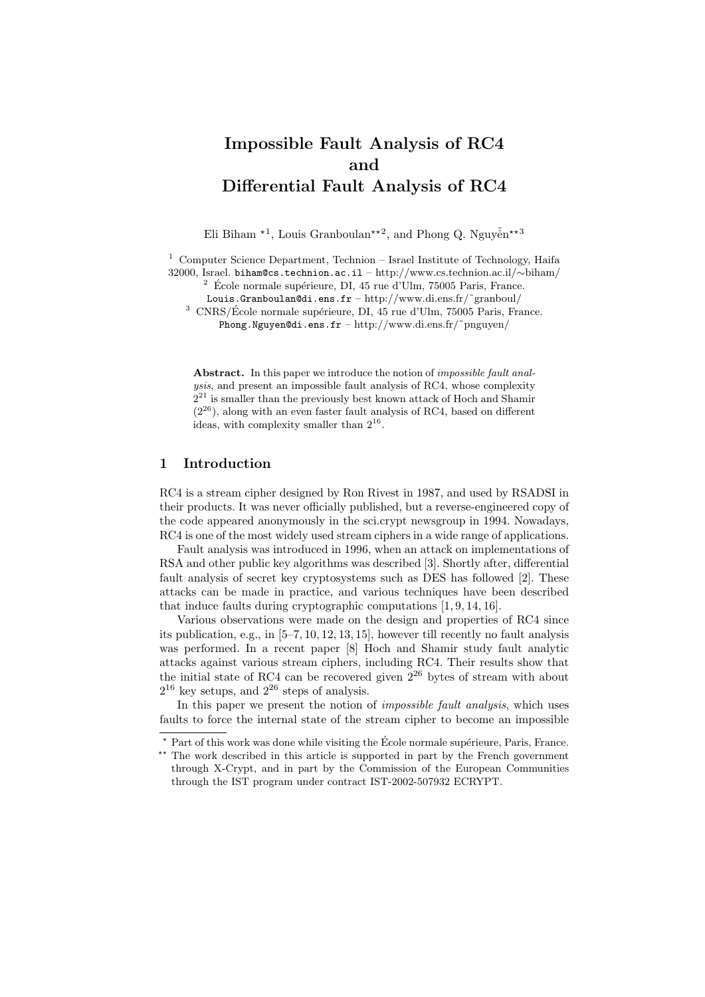# Impossible Fault Analysis of RC4 and Differential Fault Analysis of RC4

Eli Biham  $*1$ , Louis Granboulan<sup>\*\*2</sup>, and Phong Q. Nguyễn<sup>\*\*3</sup>

<sup>1</sup> Computer Science Department, Technion – Israel Institute of Technology, Haifa 32000, Israel. biham@cs.technion.ac.il – http://www.cs.technion.ac.il/∼biham/

 $2\,$  École normale supérieure, DI, 45 rue d'Ulm, 75005 Paris, France.

Louis.Granboulan@di.ens.fr – http://www.di.ens.fr/˜granboul/

 $^3$  CNRS/École normale supérieure, DI, 45 rue d'Ulm, 75005 Paris, France.

Phong.Nguyen@di.ens.fr – http://www.di.ens.fr/˜pnguyen/

Abstract. In this paper we introduce the notion of *impossible fault anal*ysis, and present an impossible fault analysis of RC4, whose complexity  $2^{21}$  is smaller than the previously best known attack of Hoch and Shamir  $(2^{26})$ , along with an even faster fault analysis of RC4, based on different ideas, with complexity smaller than  $2^{16}$ .

#### 1 Introduction

RC4 is a stream cipher designed by Ron Rivest in 1987, and used by RSADSI in their products. It was never officially published, but a reverse-engineered copy of the code appeared anonymously in the sci.crypt newsgroup in 1994. Nowadays, RC4 is one of the most widely used stream ciphers in a wide range of applications.

Fault analysis was introduced in 1996, when an attack on implementations of RSA and other public key algorithms was described [3]. Shortly after, differential fault analysis of secret key cryptosystems such as DES has followed [2]. These attacks can be made in practice, and various techniques have been described that induce faults during cryptographic computations [1, 9, 14, 16].

Various observations were made on the design and properties of RC4 since its publication, e.g., in [5–7, 10, 12, 13, 15], however till recently no fault analysis was performed. In a recent paper [8] Hoch and Shamir study fault analytic attacks against various stream ciphers, including RC4. Their results show that the initial state of RC4 can be recovered given  $2^{26}$  bytes of stream with about  $2^{16}$  key setups, and  $2^{26}$  steps of analysis.

In this paper we present the notion of impossible fault analysis, which uses faults to force the internal state of the stream cipher to become an impossible

 $*$  Part of this work was done while visiting the École normale supérieure, Paris, France. \*\* The work described in this article is supported in part by the French government through X-Crypt, and in part by the Commission of the European Communities

through the IST program under contract IST-2002-507932 ECRYPT.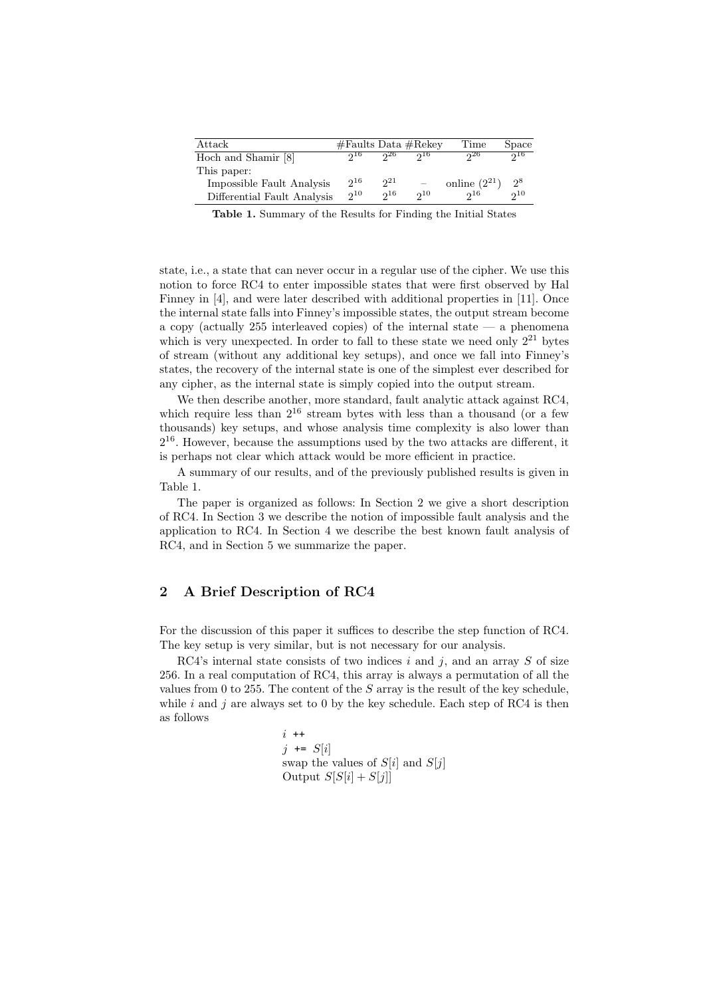| Attack                      |          |          | #Faults Data #Rekey | Time              | Space    |
|-----------------------------|----------|----------|---------------------|-------------------|----------|
| Hoch and Shamir [8]         | $0^{16}$ | 26       | 216                 | 26                | $0^{16}$ |
| This paper:                 |          |          |                     |                   |          |
| Impossible Fault Analysis   | $2^{16}$ | $2^{21}$ |                     | online $(2^{21})$ | $2^8$    |
| Differential Fault Analysis | $2^{10}$ | 216      | $2^{10}$            | $2^{16}$          | $2^{10}$ |

Table 1. Summary of the Results for Finding the Initial States

state, i.e., a state that can never occur in a regular use of the cipher. We use this notion to force RC4 to enter impossible states that were first observed by Hal Finney in [4], and were later described with additional properties in [11]. Once the internal state falls into Finney's impossible states, the output stream become a copy (actually 255 interleaved copies) of the internal state  $-$  a phenomena which is very unexpected. In order to fall to these state we need only  $2^{21}$  bytes of stream (without any additional key setups), and once we fall into Finney's states, the recovery of the internal state is one of the simplest ever described for any cipher, as the internal state is simply copied into the output stream.

We then describe another, more standard, fault analytic attack against RC4, which require less than  $2^{16}$  stream bytes with less than a thousand (or a few thousands) key setups, and whose analysis time complexity is also lower than  $2^{16}$ . However, because the assumptions used by the two attacks are different, it is perhaps not clear which attack would be more efficient in practice.

A summary of our results, and of the previously published results is given in Table 1.

The paper is organized as follows: In Section 2 we give a short description of RC4. In Section 3 we describe the notion of impossible fault analysis and the application to RC4. In Section 4 we describe the best known fault analysis of RC4, and in Section 5 we summarize the paper.

### 2 A Brief Description of RC4

For the discussion of this paper it suffices to describe the step function of RC4. The key setup is very similar, but is not necessary for our analysis.

RC4's internal state consists of two indices  $i$  and  $j$ , and an array  $S$  of size 256. In a real computation of RC4, this array is always a permutation of all the values from 0 to 255. The content of the  $S$  array is the result of the key schedule, while i and j are always set to 0 by the key schedule. Each step of RC4 is then as follows

> $i +$  $j \leftarrow S[i]$ swap the values of  $S[i]$  and  $S[j]$ Output  $S[S[i] + S[j]]$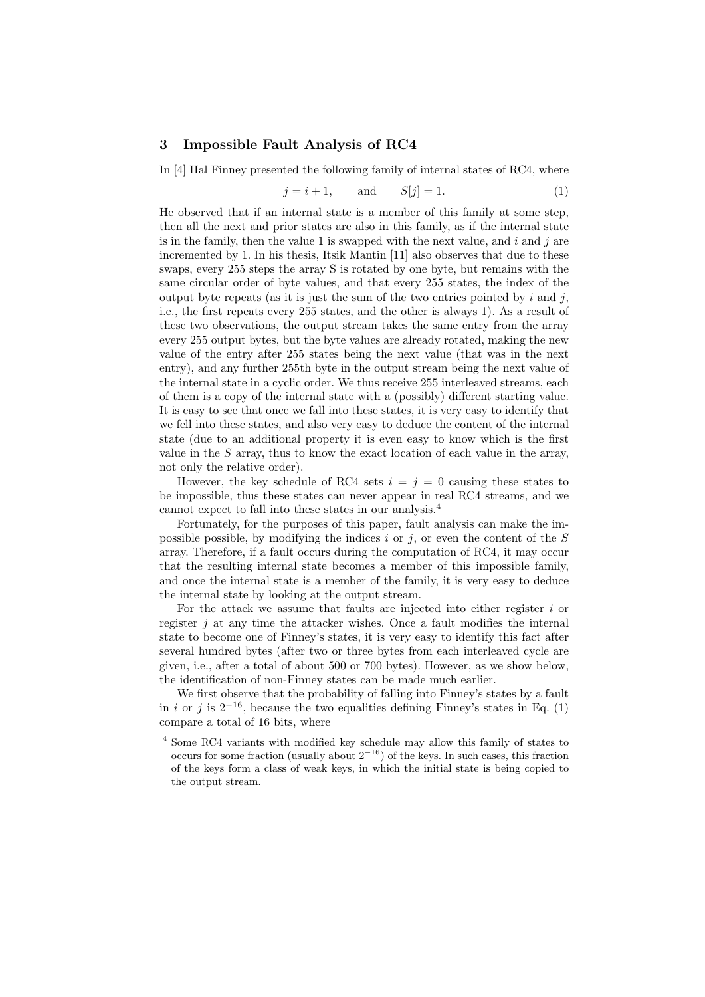#### 3 Impossible Fault Analysis of RC4

In [4] Hal Finney presented the following family of internal states of RC4, where

$$
j = i + 1, \qquad \text{and} \qquad S[j] = 1. \tag{1}
$$

He observed that if an internal state is a member of this family at some step, then all the next and prior states are also in this family, as if the internal state is in the family, then the value 1 is swapped with the next value, and i and j are incremented by 1. In his thesis, Itsik Mantin [11] also observes that due to these swaps, every 255 steps the array S is rotated by one byte, but remains with the same circular order of byte values, and that every 255 states, the index of the output byte repeats (as it is just the sum of the two entries pointed by i and j, i.e., the first repeats every 255 states, and the other is always 1). As a result of these two observations, the output stream takes the same entry from the array every 255 output bytes, but the byte values are already rotated, making the new value of the entry after 255 states being the next value (that was in the next entry), and any further 255th byte in the output stream being the next value of the internal state in a cyclic order. We thus receive 255 interleaved streams, each of them is a copy of the internal state with a (possibly) different starting value. It is easy to see that once we fall into these states, it is very easy to identify that we fell into these states, and also very easy to deduce the content of the internal state (due to an additional property it is even easy to know which is the first value in the  $S$  array, thus to know the exact location of each value in the array, not only the relative order).

However, the key schedule of RC4 sets  $i = j = 0$  causing these states to be impossible, thus these states can never appear in real RC4 streams, and we cannot expect to fall into these states in our analysis.<sup>4</sup>

Fortunately, for the purposes of this paper, fault analysis can make the impossible possible, by modifying the indices i or j, or even the content of the  $S$ array. Therefore, if a fault occurs during the computation of RC4, it may occur that the resulting internal state becomes a member of this impossible family, and once the internal state is a member of the family, it is very easy to deduce the internal state by looking at the output stream.

For the attack we assume that faults are injected into either register  $i$  or register  $j$  at any time the attacker wishes. Once a fault modifies the internal state to become one of Finney's states, it is very easy to identify this fact after several hundred bytes (after two or three bytes from each interleaved cycle are given, i.e., after a total of about 500 or 700 bytes). However, as we show below, the identification of non-Finney states can be made much earlier.

We first observe that the probability of falling into Finney's states by a fault in i or j is  $2^{-16}$ , because the two equalities defining Finney's states in Eq. (1) compare a total of 16 bits, where

<sup>4</sup> Some RC4 variants with modified key schedule may allow this family of states to occurs for some fraction (usually about  $2^{-16}$ ) of the keys. In such cases, this fraction of the keys form a class of weak keys, in which the initial state is being copied to the output stream.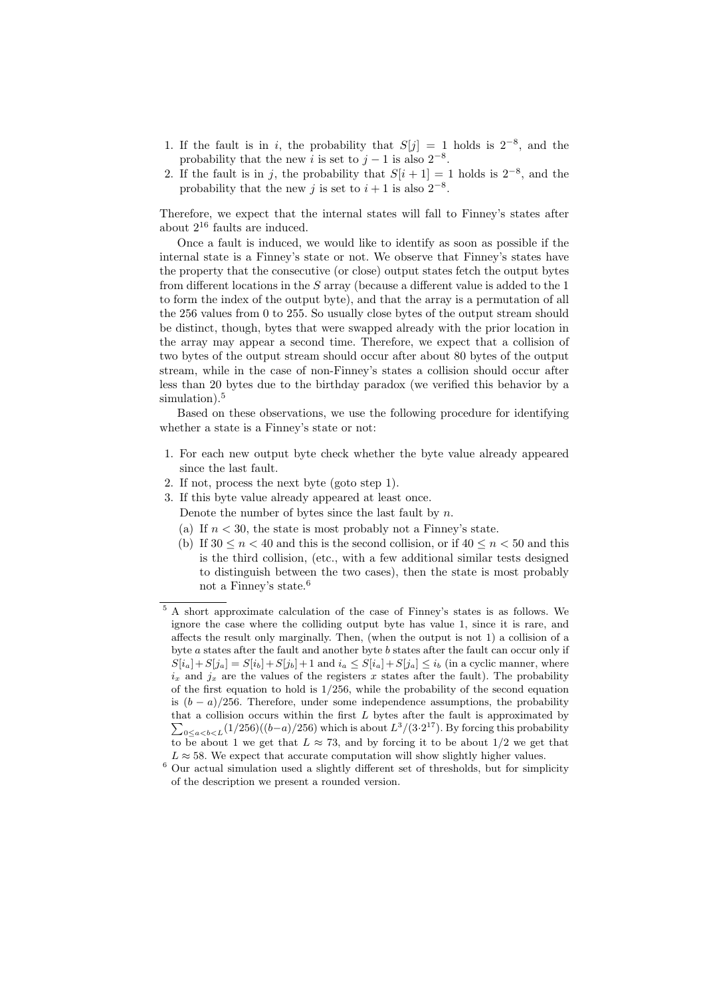- 1. If the fault is in i, the probability that  $S[j] = 1$  holds is  $2^{-8}$ , and the probability that the new *i* is set to  $j-1$  is also  $2^{-8}$ .
- 2. If the fault is in j, the probability that  $S[i + 1] = 1$  holds is  $2^{-8}$ , and the probability that the new j is set to  $i + 1$  is also  $2^{-8}$ .

Therefore, we expect that the internal states will fall to Finney's states after about  $2^{16}$  faults are induced.

Once a fault is induced, we would like to identify as soon as possible if the internal state is a Finney's state or not. We observe that Finney's states have the property that the consecutive (or close) output states fetch the output bytes from different locations in the S array (because a different value is added to the 1 to form the index of the output byte), and that the array is a permutation of all the 256 values from 0 to 255. So usually close bytes of the output stream should be distinct, though, bytes that were swapped already with the prior location in the array may appear a second time. Therefore, we expect that a collision of two bytes of the output stream should occur after about 80 bytes of the output stream, while in the case of non-Finney's states a collision should occur after less than 20 bytes due to the birthday paradox (we verified this behavior by a simulation).<sup>5</sup>

Based on these observations, we use the following procedure for identifying whether a state is a Finney's state or not:

- 1. For each new output byte check whether the byte value already appeared since the last fault.
- 2. If not, process the next byte (goto step 1).
- 3. If this byte value already appeared at least once.
	- Denote the number of bytes since the last fault by  $n$ .
	- (a) If  $n < 30$ , the state is most probably not a Finney's state.
	- (b) If  $30 \le n \le 40$  and this is the second collision, or if  $40 \le n \le 50$  and this is the third collision, (etc., with a few additional similar tests designed to distinguish between the two cases), then the state is most probably not a Finney's state.<sup>6</sup>

<sup>5</sup> A short approximate calculation of the case of Finney's states is as follows. We ignore the case where the colliding output byte has value 1, since it is rare, and affects the result only marginally. Then, (when the output is not 1) a collision of a byte a states after the fault and another byte b states after the fault can occur only if  $S[i_a]+S[j_a]=S[i_b]+S[j_b]+1$  and  $i_a\leq S[i_a]+S[j_a]\leq i_b$  (in a cyclic manner, where  $i_x$  and  $j_x$  are the values of the registers x states after the fault). The probability of the first equation to hold is  $1/256$ , while the probability of the second equation is  $(b - a)/256$ . Therefore, under some independence assumptions, the probability that a collision occurs within the first L bytes after the fault is approximated by  $\sum_{0 \le a < b < L} (1/256)((b-a)/256)$  which is about  $L^3/(3 \cdot 2^{17})$ . By forcing this probability to be about 1 we get that  $L \approx 73$ , and by forcing it to be about 1/2 we get that  $L \approx 58$ . We expect that accurate computation will show slightly higher values.

<sup>6</sup> Our actual simulation used a slightly different set of thresholds, but for simplicity of the description we present a rounded version.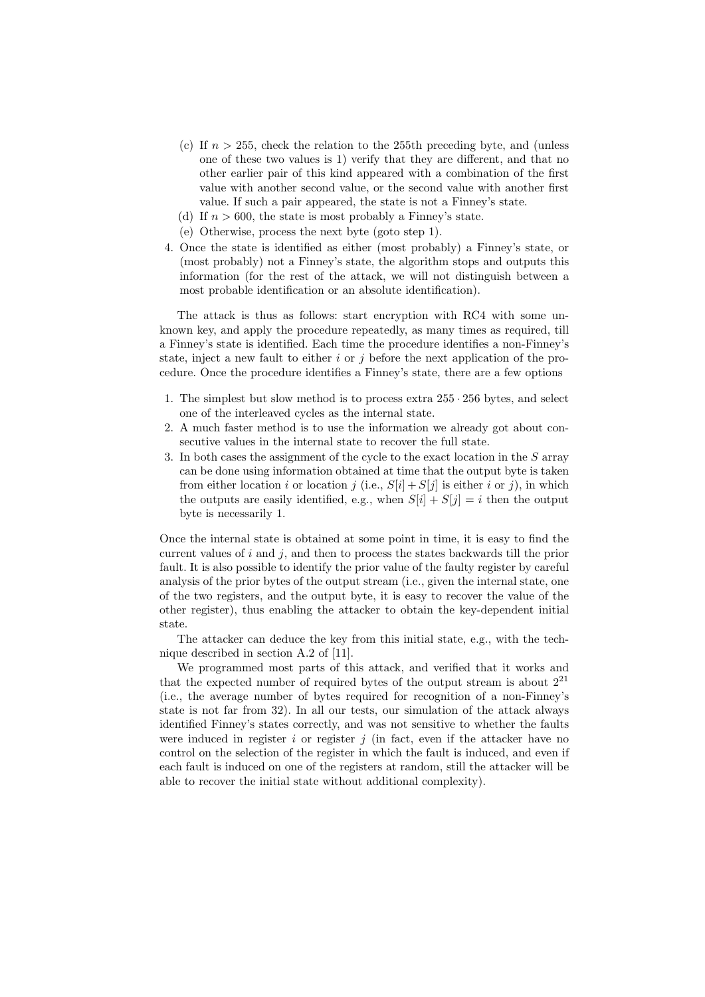- (c) If  $n > 255$ , check the relation to the 255th preceding byte, and (unless one of these two values is 1) verify that they are different, and that no other earlier pair of this kind appeared with a combination of the first value with another second value, or the second value with another first value. If such a pair appeared, the state is not a Finney's state.
- (d) If  $n > 600$ , the state is most probably a Finney's state.
- (e) Otherwise, process the next byte (goto step 1).
- 4. Once the state is identified as either (most probably) a Finney's state, or (most probably) not a Finney's state, the algorithm stops and outputs this information (for the rest of the attack, we will not distinguish between a most probable identification or an absolute identification).

The attack is thus as follows: start encryption with RC4 with some unknown key, and apply the procedure repeatedly, as many times as required, till a Finney's state is identified. Each time the procedure identifies a non-Finney's state, inject a new fault to either i or j before the next application of the procedure. Once the procedure identifies a Finney's state, there are a few options

- 1. The simplest but slow method is to process extra  $255 \cdot 256$  bytes, and select one of the interleaved cycles as the internal state.
- 2. A much faster method is to use the information we already got about consecutive values in the internal state to recover the full state.
- 3. In both cases the assignment of the cycle to the exact location in the S array can be done using information obtained at time that the output byte is taken from either location i or location j (i.e.,  $S[i] + S[j]$  is either i or j), in which the outputs are easily identified, e.g., when  $S[i] + S[j] = i$  then the output byte is necessarily 1.

Once the internal state is obtained at some point in time, it is easy to find the current values of  $i$  and  $j$ , and then to process the states backwards till the prior fault. It is also possible to identify the prior value of the faulty register by careful analysis of the prior bytes of the output stream (i.e., given the internal state, one of the two registers, and the output byte, it is easy to recover the value of the other register), thus enabling the attacker to obtain the key-dependent initial state.

The attacker can deduce the key from this initial state, e.g., with the technique described in section A.2 of [11].

We programmed most parts of this attack, and verified that it works and that the expected number of required bytes of the output stream is about  $2^{21}$ (i.e., the average number of bytes required for recognition of a non-Finney's state is not far from 32). In all our tests, our simulation of the attack always identified Finney's states correctly, and was not sensitive to whether the faults were induced in register  $i$  or register  $j$  (in fact, even if the attacker have no control on the selection of the register in which the fault is induced, and even if each fault is induced on one of the registers at random, still the attacker will be able to recover the initial state without additional complexity).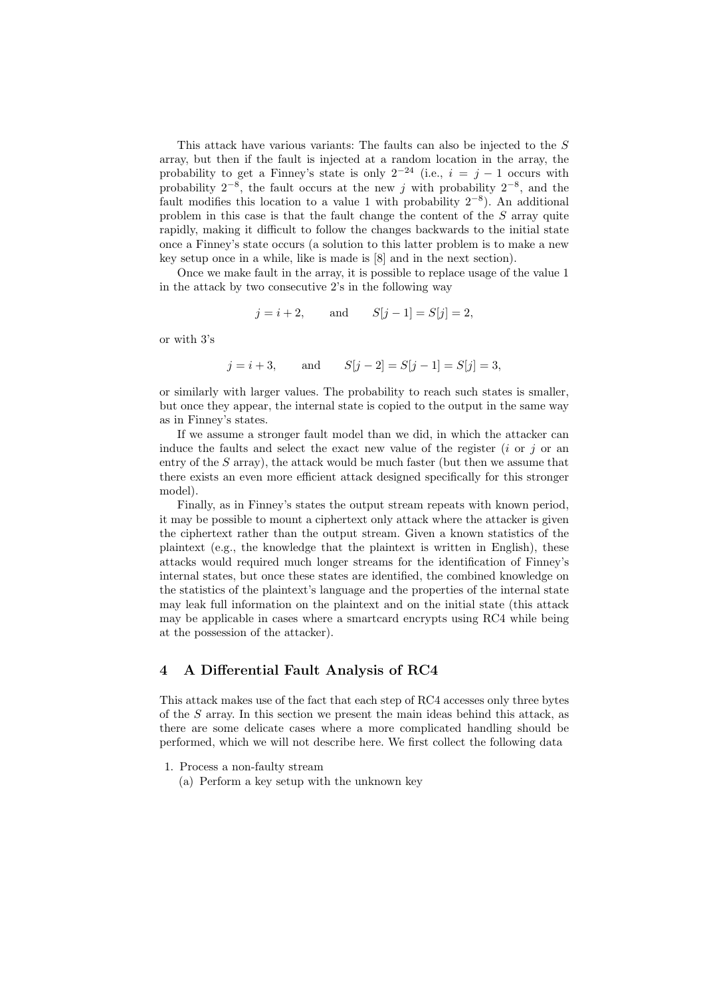This attack have various variants: The faults can also be injected to the S array, but then if the fault is injected at a random location in the array, the probability to get a Finney's state is only  $2^{-24}$  (i.e.,  $i = j - 1$  occurs with probability  $2^{-8}$ , the fault occurs at the new j with probability  $2^{-8}$ , and the fault modifies this location to a value 1 with probability  $2^{-8}$ ). An additional problem in this case is that the fault change the content of the  $S$  array quite rapidly, making it difficult to follow the changes backwards to the initial state once a Finney's state occurs (a solution to this latter problem is to make a new key setup once in a while, like is made is [8] and in the next section).

Once we make fault in the array, it is possible to replace usage of the value 1 in the attack by two consecutive 2's in the following way

$$
j = i + 2
$$
, and  $S[j - 1] = S[j] = 2$ ,

or with 3's

 $j = i + 3$ , and  $S[j - 2] = S[j - 1] = S[j] = 3$ ,

or similarly with larger values. The probability to reach such states is smaller, but once they appear, the internal state is copied to the output in the same way as in Finney's states.

If we assume a stronger fault model than we did, in which the attacker can induce the faults and select the exact new value of the register  $(i \text{ or } i)$  or an entry of the  $S$  array), the attack would be much faster (but then we assume that there exists an even more efficient attack designed specifically for this stronger model).

Finally, as in Finney's states the output stream repeats with known period, it may be possible to mount a ciphertext only attack where the attacker is given the ciphertext rather than the output stream. Given a known statistics of the plaintext (e.g., the knowledge that the plaintext is written in English), these attacks would required much longer streams for the identification of Finney's internal states, but once these states are identified, the combined knowledge on the statistics of the plaintext's language and the properties of the internal state may leak full information on the plaintext and on the initial state (this attack may be applicable in cases where a smartcard encrypts using RC4 while being at the possession of the attacker).

# 4 A Differential Fault Analysis of RC4

This attack makes use of the fact that each step of RC4 accesses only three bytes of the S array. In this section we present the main ideas behind this attack, as there are some delicate cases where a more complicated handling should be performed, which we will not describe here. We first collect the following data

1. Process a non-faulty stream

(a) Perform a key setup with the unknown key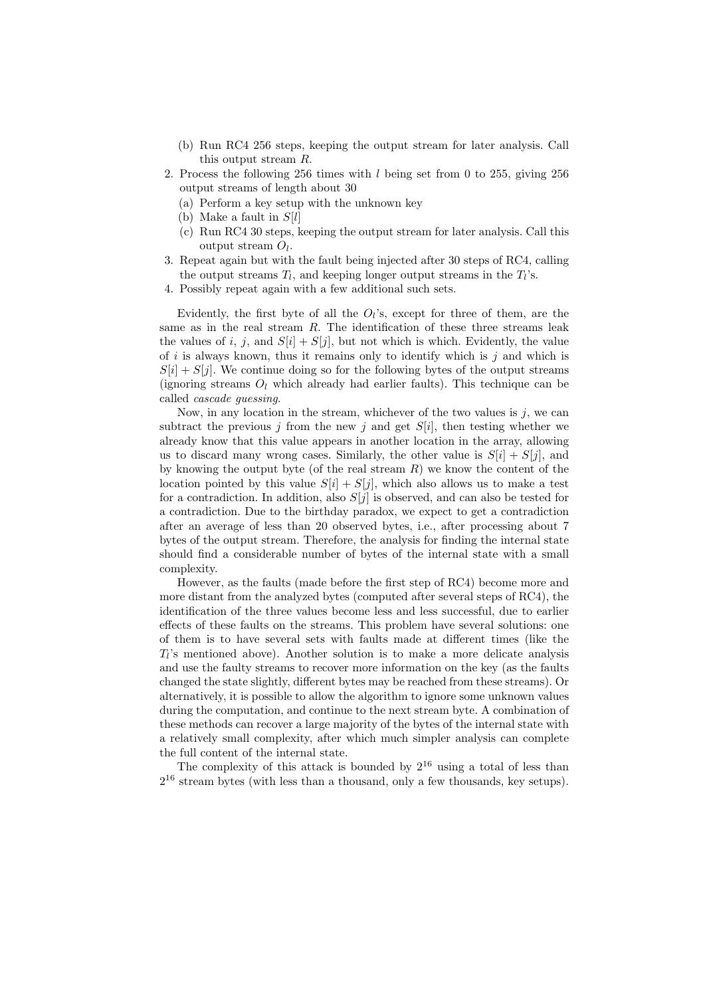- (b) Run RC4 256 steps, keeping the output stream for later analysis. Call this output stream R.
- 2. Process the following 256 times with l being set from 0 to 255, giving 256 output streams of length about 30
	- (a) Perform a key setup with the unknown key
	- (b) Make a fault in  $S[l]$
	- (c) Run RC4 30 steps, keeping the output stream for later analysis. Call this output stream  $O_l$ .
- 3. Repeat again but with the fault being injected after 30 steps of RC4, calling the output streams  $T_l$ , and keeping longer output streams in the  $T_l$ 's.
- 4. Possibly repeat again with a few additional such sets.

Evidently, the first byte of all the  $O_l$ 's, except for three of them, are the same as in the real stream  $R$ . The identification of these three streams leak the values of i, j, and  $S[i] + S[j]$ , but not which is which. Evidently, the value of i is always known, thus it remains only to identify which is j and which is  $S[i] + S[j]$ . We continue doing so for the following bytes of the output streams (ignoring streams  $O_l$  which already had earlier faults). This technique can be called cascade guessing.

Now, in any location in the stream, whichever of the two values is  $j$ , we can subtract the previous j from the new j and get  $S[i]$ , then testing whether we already know that this value appears in another location in the array, allowing us to discard many wrong cases. Similarly, the other value is  $S[i] + S[j]$ , and by knowing the output byte (of the real stream  $R$ ) we know the content of the location pointed by this value  $S[i] + S[j]$ , which also allows us to make a test for a contradiction. In addition, also  $S[j]$  is observed, and can also be tested for a contradiction. Due to the birthday paradox, we expect to get a contradiction after an average of less than 20 observed bytes, i.e., after processing about 7 bytes of the output stream. Therefore, the analysis for finding the internal state should find a considerable number of bytes of the internal state with a small complexity.

However, as the faults (made before the first step of RC4) become more and more distant from the analyzed bytes (computed after several steps of RC4), the identification of the three values become less and less successful, due to earlier effects of these faults on the streams. This problem have several solutions: one of them is to have several sets with faults made at different times (like the  $T_l$ 's mentioned above). Another solution is to make a more delicate analysis and use the faulty streams to recover more information on the key (as the faults changed the state slightly, different bytes may be reached from these streams). Or alternatively, it is possible to allow the algorithm to ignore some unknown values during the computation, and continue to the next stream byte. A combination of these methods can recover a large majority of the bytes of the internal state with a relatively small complexity, after which much simpler analysis can complete the full content of the internal state.

The complexity of this attack is bounded by  $2^{16}$  using a total of less than  $2^{16}$  stream bytes (with less than a thousand, only a few thousands, key setups).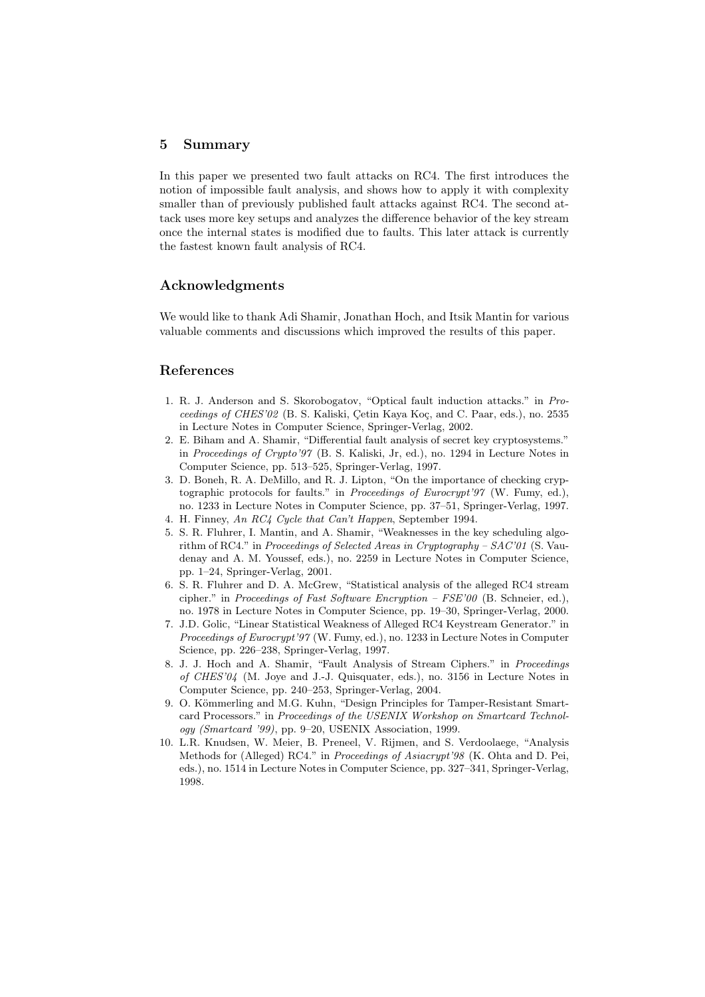#### 5 Summary

In this paper we presented two fault attacks on RC4. The first introduces the notion of impossible fault analysis, and shows how to apply it with complexity smaller than of previously published fault attacks against RC4. The second attack uses more key setups and analyzes the difference behavior of the key stream once the internal states is modified due to faults. This later attack is currently the fastest known fault analysis of RC4.

# Acknowledgments

We would like to thank Adi Shamir, Jonathan Hoch, and Itsik Mantin for various valuable comments and discussions which improved the results of this paper.

# References

- 1. R. J. Anderson and S. Skorobogatov, "Optical fault induction attacks." in Proceedings of CHES'02 (B. S. Kaliski, Cetin Kaya Koç, and C. Paar, eds.), no. 2535 in Lecture Notes in Computer Science, Springer-Verlag, 2002.
- 2. E. Biham and A. Shamir, "Differential fault analysis of secret key cryptosystems." in Proceedings of Crypto'97 (B. S. Kaliski, Jr, ed.), no. 1294 in Lecture Notes in Computer Science, pp. 513–525, Springer-Verlag, 1997.
- 3. D. Boneh, R. A. DeMillo, and R. J. Lipton, "On the importance of checking cryptographic protocols for faults." in Proceedings of Eurocrypt'97 (W. Fumy, ed.), no. 1233 in Lecture Notes in Computer Science, pp. 37–51, Springer-Verlag, 1997.
- 4. H. Finney, An RC4 Cycle that Can't Happen, September 1994.
- 5. S. R. Fluhrer, I. Mantin, and A. Shamir, "Weaknesses in the key scheduling algorithm of RC4." in Proceedings of Selected Areas in Cryptography – SAC'01 (S. Vaudenay and A. M. Youssef, eds.), no. 2259 in Lecture Notes in Computer Science, pp. 1–24, Springer-Verlag, 2001.
- 6. S. R. Fluhrer and D. A. McGrew, "Statistical analysis of the alleged RC4 stream cipher." in Proceedings of Fast Software Encryption –  $FSE'00$  (B. Schneier, ed.), no. 1978 in Lecture Notes in Computer Science, pp. 19–30, Springer-Verlag, 2000.
- 7. J.D. Golic, "Linear Statistical Weakness of Alleged RC4 Keystream Generator." in Proceedings of Eurocrypt'97 (W. Fumy, ed.), no. 1233 in Lecture Notes in Computer Science, pp. 226–238, Springer-Verlag, 1997.
- 8. J. J. Hoch and A. Shamir, "Fault Analysis of Stream Ciphers." in Proceedings of CHES'04 (M. Joye and J.-J. Quisquater, eds.), no. 3156 in Lecture Notes in Computer Science, pp. 240–253, Springer-Verlag, 2004.
- 9. O. Kömmerling and M.G. Kuhn, "Design Principles for Tamper-Resistant Smartcard Processors." in Proceedings of the USENIX Workshop on Smartcard Technology (Smartcard '99), pp. 9–20, USENIX Association, 1999.
- 10. L.R. Knudsen, W. Meier, B. Preneel, V. Rijmen, and S. Verdoolaege, "Analysis Methods for (Alleged) RC4." in Proceedings of Asiacrypt'98 (K. Ohta and D. Pei, eds.), no. 1514 in Lecture Notes in Computer Science, pp. 327–341, Springer-Verlag, 1998.